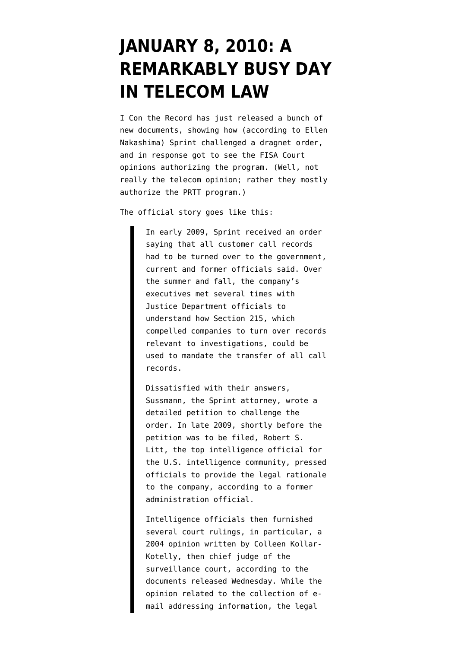## **[JANUARY 8, 2010: A](https://www.emptywheel.net/2014/05/14/january-8-2010-a-remarkably-busy-day-in-telecom-law/) [REMARKABLY BUSY DAY](https://www.emptywheel.net/2014/05/14/january-8-2010-a-remarkably-busy-day-in-telecom-law/) [IN TELECOM LAW](https://www.emptywheel.net/2014/05/14/january-8-2010-a-remarkably-busy-day-in-telecom-law/)**

I Con the Record has just [released](http://www.odni.gov/index.php/newsroom/press-releases/198-press-releases-2014/1065-odni-and-doj-release-additional-declassified-fisc-filings-and-orders-related-to-section-215-of-the-usa-patriot-act) a bunch of new documents, showing how [\(according to Ellen](http://www.washingtonpost.com/world/national-security/us-revealed-secret-legal-basis-for-nsa-program-to-sprint-documents-show/2014/05/14/f593612a-ce28-11e3-937f-d3026234b51c_story.html) [Nakashima\)](http://www.washingtonpost.com/world/national-security/us-revealed-secret-legal-basis-for-nsa-program-to-sprint-documents-show/2014/05/14/f593612a-ce28-11e3-937f-d3026234b51c_story.html) Sprint challenged a dragnet order, and in response got to see the FISA Court opinions authorizing the program. (Well, not really the telecom opinion; rather they mostly authorize the PRTT program.)

The official story goes like this:

In early 2009, Sprint received an order saying that all customer call records had to be turned over to the government, current and former officials said. Over the summer and fall, the company's executives met several times with Justice Department officials to understand how Section 215, which compelled companies to turn over records relevant to investigations, could be used to mandate the transfer of all call records.

Dissatisfied with their answers, Sussmann, the Sprint attorney, wrote a detailed petition to challenge the order. In late 2009, shortly before the petition was to be filed, Robert S. Litt, the top intelligence official for the U.S. intelligence community, pressed officials to provide the legal rationale to the company, according to a former administration official.

Intelligence officials then furnished several court rulings, in particular, a 2004 opinion written by Colleen Kollar-Kotelly, then chief judge of the surveillance court, according to the documents released Wednesday. While the opinion related to the collection of email addressing information, the legal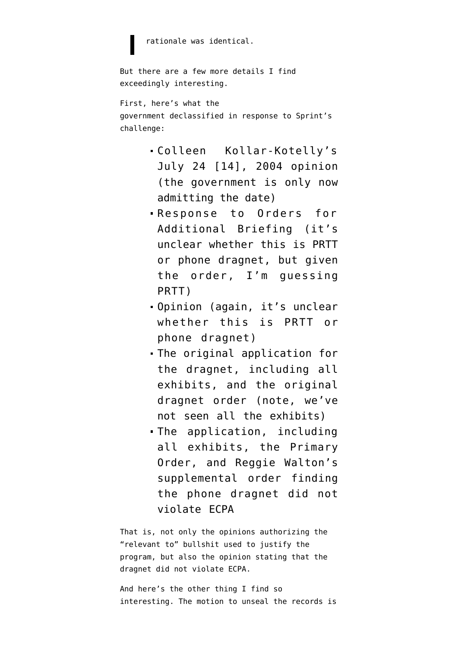rationale was identical.

```
But there are a few more details I find
exceedingly interesting.
```
First, here's what the government [declassified](http://www.dni.gov/files/documents/0514/FISC%20Order%20Granting%20Motion%20to%20Unseal%20Records.pdf) in response to Sprint's challenge:

- Colleen Kollar-Kotelly's July 24 [14], 2004 opinion (the government is only now admitting the date)
- Response to Orders for Additional Briefing (it's unclear whether this is PRTT or phone dragnet, but given the order, I'm guessing PRTT)
- Opinion (again, it's unclear whether this is PRTT or phone dragnet)
- The original application for the dragnet, including all exhibits, and the original dragnet order (note, we've not seen all the exhibits)
- The application, including all exhibits, the Primary Order, and Reggie Walton's supplemental order finding the phone dragnet did not violate ECPA

That is, not only the opinions authorizing the "relevant to" bullshit used to justify the program, but also the opinion stating that the dragnet did not violate ECPA.

And here's the other thing I find so interesting. The motion to unseal the records is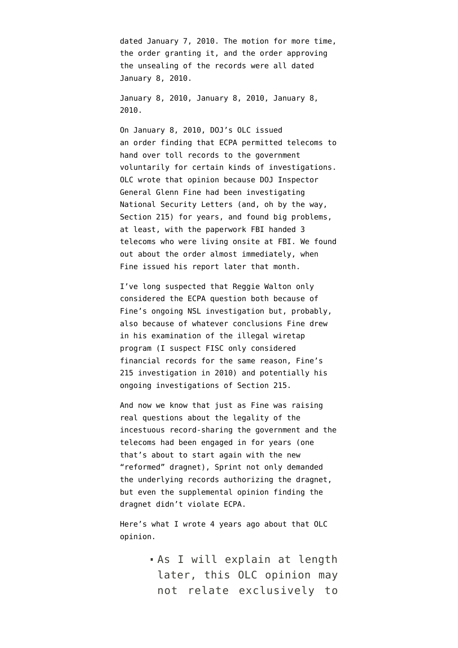dated January 7, 2010. The motion for more time, the order granting it, and the order approving the unsealing of the records were all dated January 8, 2010.

January 8, 2010, January 8, 2010, January 8, 2010.

On January 8, 2010, DOJ's OLC issued an [order](http://www.emptywheel.net/2010/02/15/the-exigent-letter-olc-opinion/) finding that ECPA permitted telecoms to hand over toll records to the government voluntarily for certain kinds of investigations. OLC wrote that opinion because DOJ Inspector General Glenn Fine had been investigating National Security Letters (and, oh by the way, Section 215) for years, and found big problems, at least, with the paperwork FBI handed 3 telecoms who were living onsite at FBI. We found out about the order almost immediately, when Fine [issued](http://www.justice.gov/oig/special/s1001r.pdf) his report later that month.

I've long suspected that Reggie Walton only considered the ECPA question both because of Fine's ongoing NSL investigation but, probably, also because of whatever conclusions Fine drew in his examination of the illegal wiretap program (I suspect FISC only considered financial records for the same reason, Fine's 215 investigation in 2010) and potentially his ongoing investigations of Section 215.

And now we know that just as Fine was raising real questions about the legality of the incestuous record-sharing the government and the telecoms had been engaged in for years (one that's about to start again with the new "reformed" dragnet), Sprint not only demanded the underlying records authorizing the dragnet, but even the supplemental opinion finding the dragnet didn't violate ECPA.

Here's what I wrote 4 years ago about that OLC opinion.

> As I will explain at length later, this OLC opinion may not relate exclusively to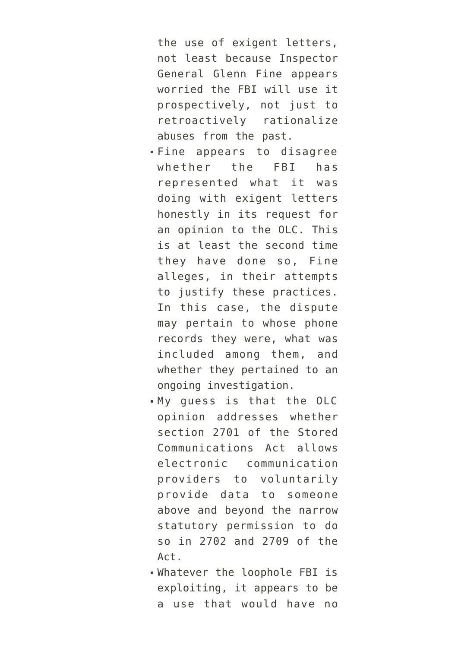the use of exigent letters, not least because Inspector General Glenn Fine appears worried the FBI will use it prospectively, not just to retroactively rationalize abuses from the past.

- Fine appears to disagree whether the FBI has represented what it was doing with exigent letters honestly in its request for an opinion to the OLC. This is at least the second time they have done so, Fine alleges, in their attempts to justify these practices. In this case, the dispute may pertain to whose phone records they were, what was included among them, and whether they pertained to an ongoing investigation.
- My guess is that the OLC opinion addresses whether section 2701 of the Stored Communications Act allows electronic communication providers to voluntarily provide data to someone above and beyond the narrow statutory permission to do so in 2702 and 2709 of the Act.
- Whatever the loophole FBI is exploiting, it appears to be a use that would have no